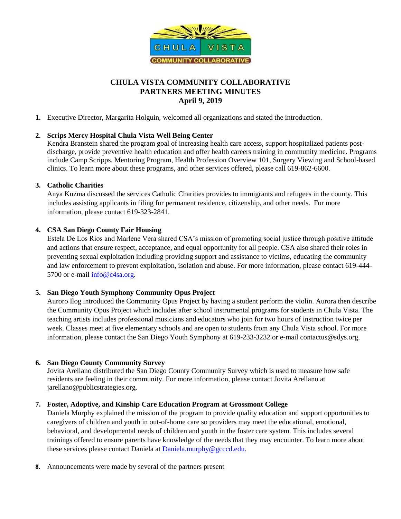

# **CHULA VISTA COMMUNITY COLLABORATIVE PARTNERS MEETING MINUTES April 9, 2019**

**1.** Executive Director, Margarita Holguin, welcomed all organizations and stated the introduction.

## **2. Scrips Mercy Hospital Chula Vista Well Being Center**

Kendra Branstein shared the program goal of increasing health care access, support hospitalized patients postdischarge, provide preventive health education and offer health careers training in community medicine. Programs include Camp Scripps, Mentoring Program, Health Profession Overview 101, Surgery Viewing and School-based clinics. To learn more about these programs, and other services offered, please call 619-862-6600.

### **3. Catholic Charities**

Anya Kuzma discussed the services Catholic Charities provides to immigrants and refugees in the county. This includes assisting applicants in filing for permanent residence, citizenship, and other needs. For more information, please contact 619-323-2841.

### **4. CSA San Diego County Fair Housing**

Estela De Los Rios and Marlene Vera shared CSA's mission of promoting social justice through positive attitude and actions that ensure respect, acceptance, and equal opportunity for all people. CSA also shared their roles in preventing sexual exploitation including providing support and assistance to victims, educating the community and law enforcement to prevent exploitation, isolation and abuse. For more information, please contact 619-444 5700 or e-mail [info@c4sa.org.](mailto:info@c4sa.org)

#### **5. San Diego Youth Symphony Community Opus Project**

Auroro Ilog introduced the Community Opus Project by having a student perform the violin. Aurora then describe the Community Opus Project which includes after school instrumental programs for students in Chula Vista. The teaching artists includes professional musicians and educators who join for two hours of instruction twice per week. Classes meet at five elementary schools and are open to students from any Chula Vista school. For more information, please contact the San Diego Youth Symphony at 619-233-3232 or e-mail contactus@sdys.org.

## **6. San Diego County Community Survey**

Jovita Arellano distributed the San Diego County Community Survey which is used to measure how safe residents are feeling in their community. For more information, please contact Jovita Arellano at jarellano@publicstrategies.org.

## **7. Foster, Adoptive, and Kinship Care Education Program at Grossmont College**

Daniela Murphy explained the mission of the program to provide quality education and support opportunities to caregivers of children and youth in out-of-home care so providers may meet the educational, emotional, behavioral, and developmental needs of children and youth in the foster care system. This includes several trainings offered to ensure parents have knowledge of the needs that they may encounter. To learn more about these services please contact Daniela at [Daniela.murphy@gcccd.edu.](mailto:Daniela.murphy@gcccd.edu)

**8.** Announcements were made by several of the partners present